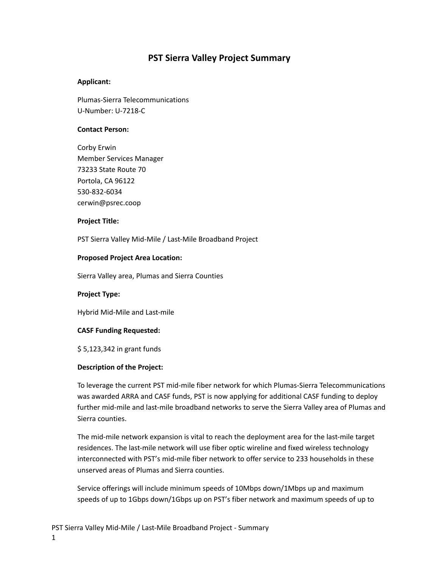## **PST Sierra Valley Project Summary**

## **Applicant:**

Plumas-Sierra Telecommunications U-Number: U-7218-C

#### **Contact Person:**

Corby Erwin Member Services Manager 73233 State Route 70 Portola, CA 96122 530-832-6034 cerwin@psrec.coop

#### **Project Title:**

PST Sierra Valley Mid-Mile / Last-Mile Broadband Project

## **Proposed Project Area Location:**

Sierra Valley area, Plumas and Sierra Counties

#### **Project Type:**

Hybrid Mid-Mile and Last-mile

## **CASF Funding Requested:**

\$ 5,123,342 in grant funds

## **Description of the Project:**

To leverage the current PST mid-mile fiber network for which Plumas-Sierra Telecommunications was awarded ARRA and CASF funds, PST is now applying for additional CASF funding to deploy further mid-mile and last-mile broadband networks to serve the Sierra Valley area of Plumas and Sierra counties.

The mid-mile network expansion is vital to reach the deployment area for the last-mile target residences. The last-mile network will use fiber optic wireline and fixed wireless technology interconnected with PST's mid-mile fiber network to offer service to 233 households in these unserved areas of Plumas and Sierra counties.

Service offerings will include minimum speeds of 10Mbps down/1Mbps up and maximum speeds of up to 1Gbps down/1Gbps up on PST's fiber network and maximum speeds of up to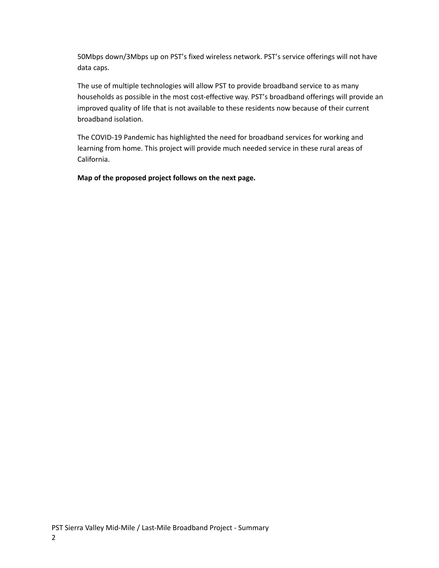50Mbps down/3Mbps up on PST's fixed wireless network. PST's service offerings will not have data caps.

The use of multiple technologies will allow PST to provide broadband service to as many households as possible in the most cost-effective way. PST's broadband offerings will provide an improved quality of life that is not available to these residents now because of their current broadband isolation.

The COVID-19 Pandemic has highlighted the need for broadband services for working and learning from home. This project will provide much needed service in these rural areas of California.

**Map of the proposed project follows on the next page.**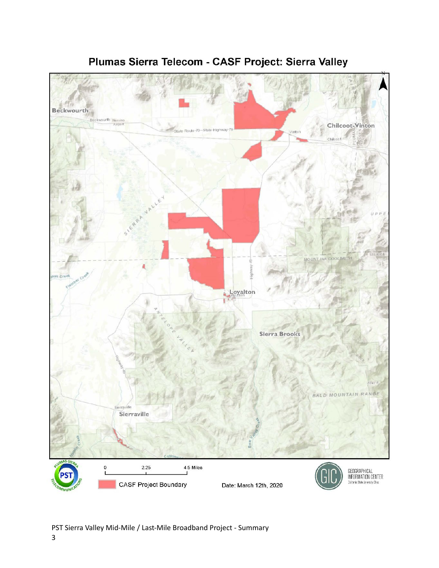

# Plumas Sierra Telecom - CASF Project: Sierra Valley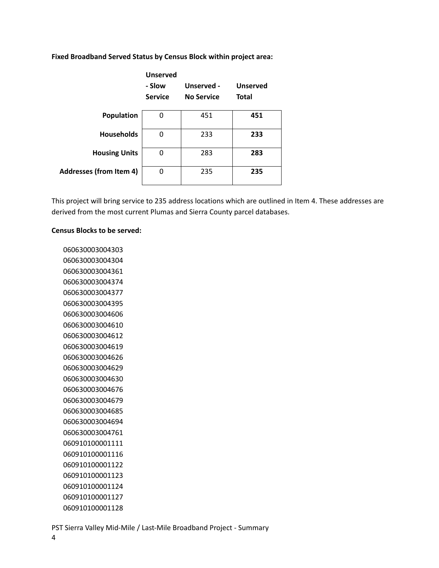|                                | <b>Unserved</b><br>- Slow<br><b>Service</b> | Unserved -<br><b>No Service</b> | <b>Unserved</b><br><b>Total</b> |
|--------------------------------|---------------------------------------------|---------------------------------|---------------------------------|
| Population                     | 0                                           | 451                             | 451                             |
| <b>Households</b>              | 0                                           | 233                             | 233                             |
| <b>Housing Units</b>           | 0                                           | 283                             | 283                             |
| <b>Addresses (from Item 4)</b> | 0                                           | 235                             | 235                             |

**Fixed Broadband Served Status by Census Block within project area:**

This project will bring service to 235 address locations which are outlined in Item 4. These addresses are derived from the most current Plumas and Sierra County parcel databases.

#### **Census Blocks to be served:**

PST Sierra Valley Mid-Mile / Last-Mile Broadband Project - Summary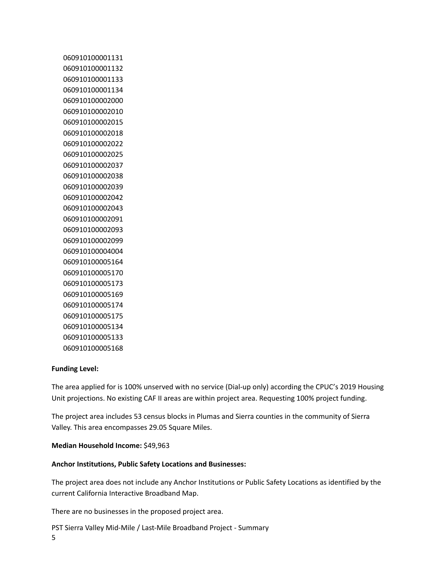## **Funding Level:**

The area applied for is 100% unserved with no service (Dial-up only) according the CPUC's 2019 Housing Unit projections. No existing CAF II areas are within project area. Requesting 100% project funding.

The project area includes 53 census blocks in Plumas and Sierra counties in the community of Sierra Valley. This area encompasses 29.05 Square Miles.

## **Median Household Income:** \$49,963

## **Anchor Institutions, Public Safety Locations and Businesses:**

The project area does not include any Anchor Institutions or Public Safety Locations as identified by the current California Interactive Broadband Map.

There are no businesses in the proposed project area.

PST Sierra Valley Mid-Mile / Last-Mile Broadband Project - Summary